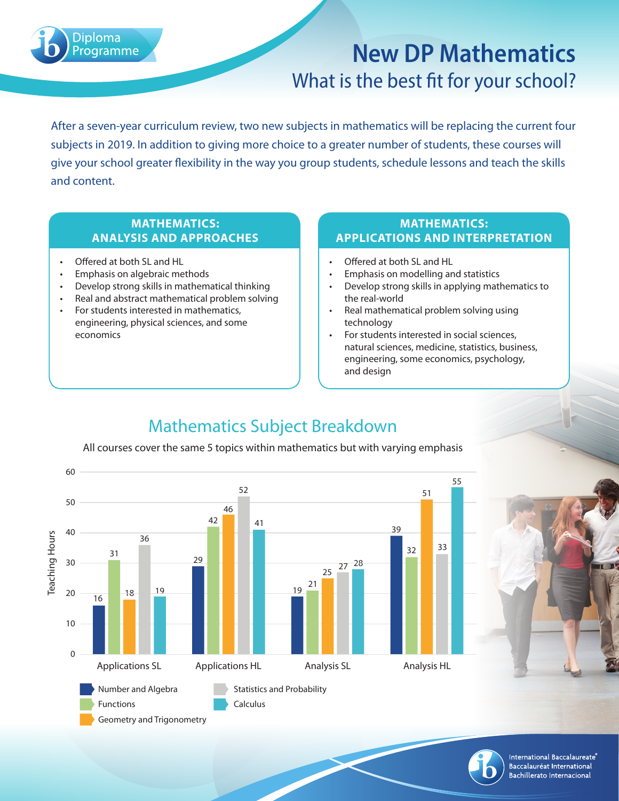

# **New DP Mathematics** What is the best fit for your school?

After a seven-year curriculum review, two new subjects in mathematics will be replacing the current four subjects in 2019. In addition to giving more choice to a greater number of students, these courses will give your school greater flexibility in the way you group students, schedule lessons and teach the skills and content.

#### **MATHEMATICS: ANALYSIS AND APPROACHES**

- Offered at both SL and HL
- Emphasis on algebraic methods
- Develop strong skills in mathematical thinking
- Real and abstract mathematical problem solving
- For students interested in mathematics, engineering, physical sciences, and some economics

#### **MATHEMATICS: APPLICATIONS AND INTERPRETATION**

- Offered at both SL and HL
- Emphasis on modelling and statistics
- Develop strong skills in applying mathematics to the real-world
- Real mathematical problem solving using technology
- For students interested in social sciences, natural sciences, medicine, statistics, business, engineering, some economics, psychology, and design

## Mathematics Subject Breakdown

All courses cover the same 5 topics within mathematics but with varying emphasis